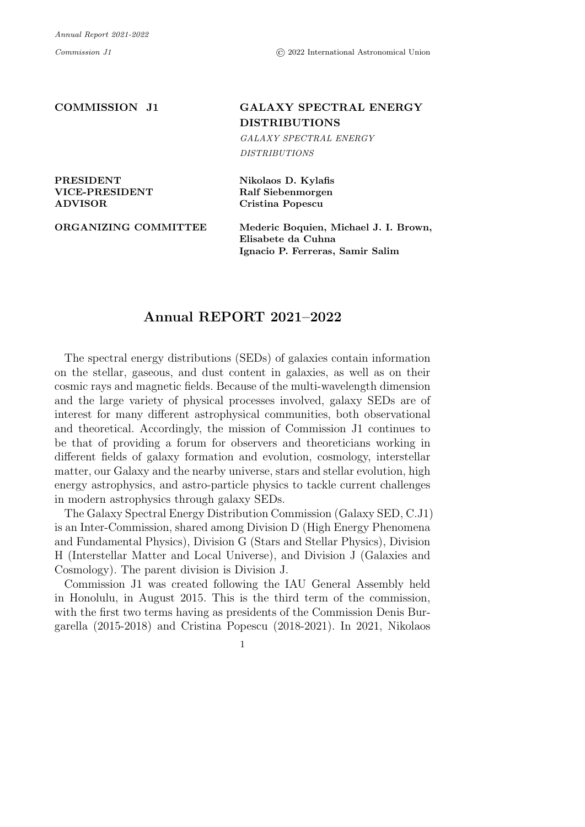## COMMISSION J1 GALAXY SPECTRAL ENERGY DISTRIBUTIONS

*GALAXY SPECTRAL ENERGY DISTRIBUTIONS*

PRESIDENT Nikolaos D. Kylafis ADVISOR Cristina Popescu

VICE-PRESIDENT Ralf Siebenmorgen

ORGANIZING COMMITTEE Mederic Boquien, Michael J. I. Brown, Elisabete da Cuhna Ignacio P. Ferreras, Samir Salim

## Annual REPORT 2021–2022

The spectral energy distributions (SEDs) of galaxies contain information on the stellar, gaseous, and dust content in galaxies, as well as on their cosmic rays and magnetic fields. Because of the multi-wavelength dimension and the large variety of physical processes involved, galaxy SEDs are of interest for many different astrophysical communities, both observational and theoretical. Accordingly, the mission of Commission J1 continues to be that of providing a forum for observers and theoreticians working in different fields of galaxy formation and evolution, cosmology, interstellar matter, our Galaxy and the nearby universe, stars and stellar evolution, high energy astrophysics, and astro-particle physics to tackle current challenges in modern astrophysics through galaxy SEDs.

The Galaxy Spectral Energy Distribution Commission (Galaxy SED, C.J1) is an Inter-Commission, shared among Division D (High Energy Phenomena and Fundamental Physics), Division G (Stars and Stellar Physics), Division H (Interstellar Matter and Local Universe), and Division J (Galaxies and Cosmology). The parent division is Division J.

Commission J1 was created following the IAU General Assembly held in Honolulu, in August 2015. This is the third term of the commission, with the first two terms having as presidents of the Commission Denis Burgarella (2015-2018) and Cristina Popescu (2018-2021). In 2021, Nikolaos

1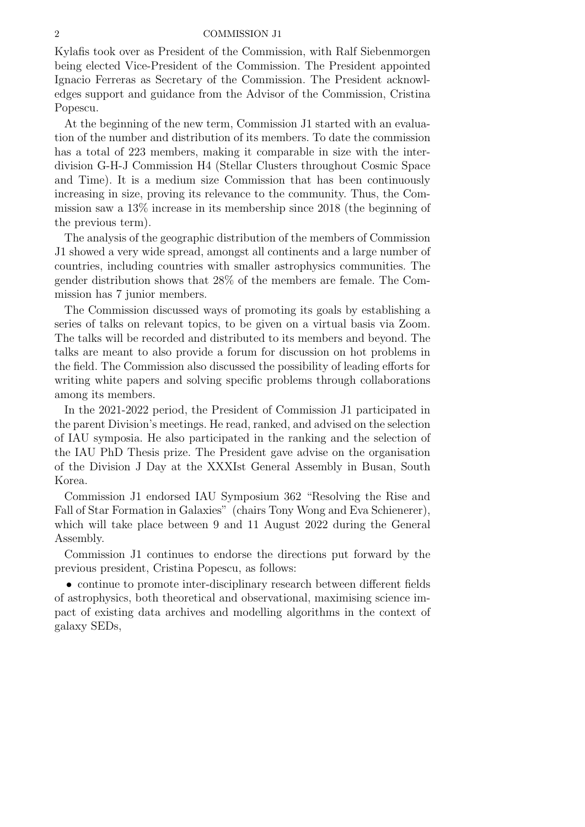## 2 COMMISSION J1

Kylafis took over as President of the Commission, with Ralf Siebenmorgen being elected Vice-President of the Commission. The President appointed Ignacio Ferreras as Secretary of the Commission. The President acknowledges support and guidance from the Advisor of the Commission, Cristina Popescu.

At the beginning of the new term, Commission J1 started with an evaluation of the number and distribution of its members. To date the commission has a total of 223 members, making it comparable in size with the interdivision G-H-J Commission H4 (Stellar Clusters throughout Cosmic Space and Time). It is a medium size Commission that has been continuously increasing in size, proving its relevance to the community. Thus, the Commission saw a 13% increase in its membership since 2018 (the beginning of the previous term).

The analysis of the geographic distribution of the members of Commission J1 showed a very wide spread, amongst all continents and a large number of countries, including countries with smaller astrophysics communities. The gender distribution shows that 28% of the members are female. The Commission has 7 junior members.

The Commission discussed ways of promoting its goals by establishing a series of talks on relevant topics, to be given on a virtual basis via Zoom. The talks will be recorded and distributed to its members and beyond. The talks are meant to also provide a forum for discussion on hot problems in the field. The Commission also discussed the possibility of leading efforts for writing white papers and solving specific problems through collaborations among its members.

In the 2021-2022 period, the President of Commission J1 participated in the parent Division's meetings. He read, ranked, and advised on the selection of IAU symposia. He also participated in the ranking and the selection of the IAU PhD Thesis prize. The President gave advise on the organisation of the Division J Day at the XXXIst General Assembly in Busan, South Korea.

Commission J1 endorsed IAU Symposium 362 "Resolving the Rise and Fall of Star Formation in Galaxies" (chairs Tony Wong and Eva Schienerer), which will take place between 9 and 11 August 2022 during the General Assembly.

Commission J1 continues to endorse the directions put forward by the previous president, Cristina Popescu, as follows:

• continue to promote inter-disciplinary research between different fields of astrophysics, both theoretical and observational, maximising science impact of existing data archives and modelling algorithms in the context of galaxy SEDs,